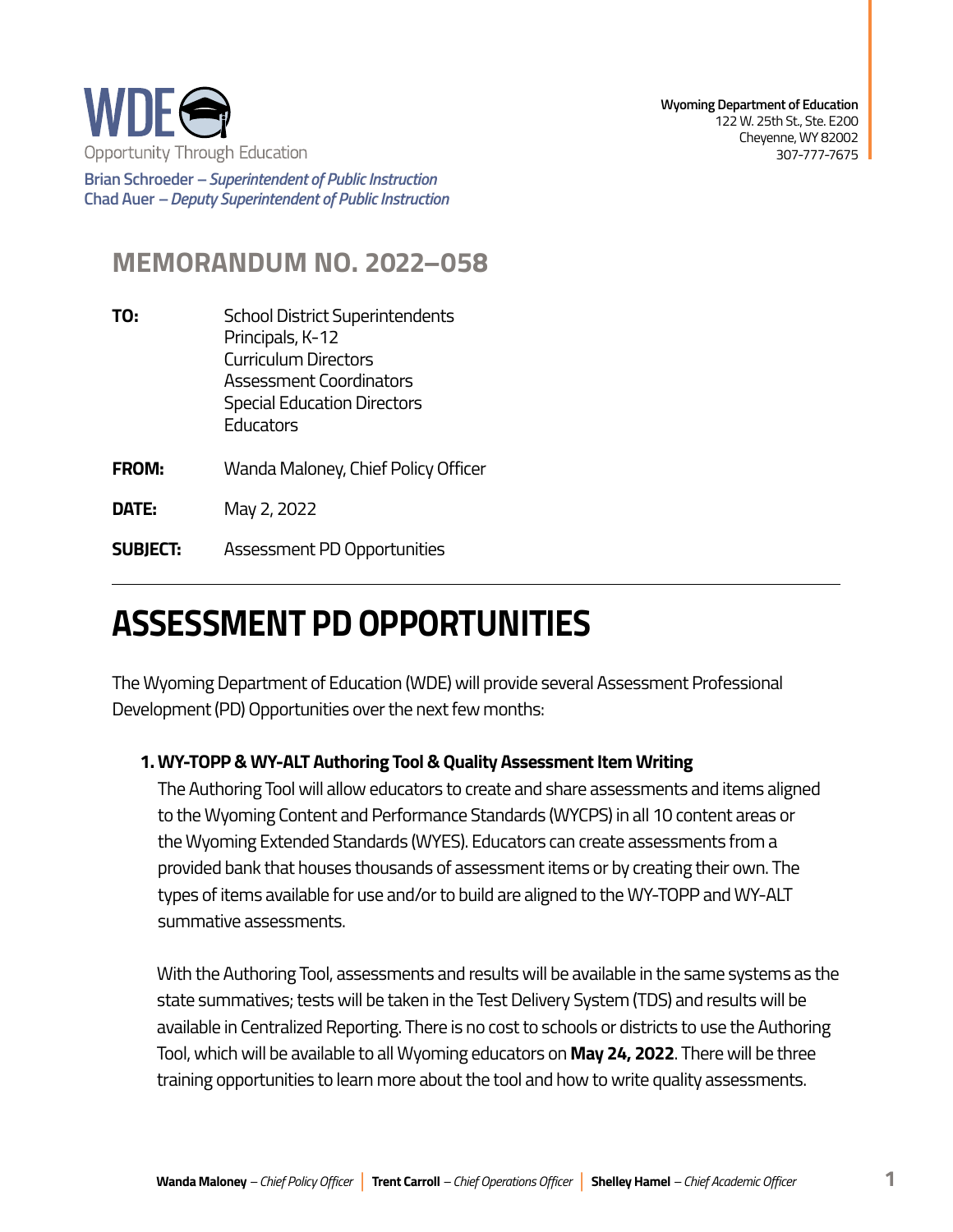

**Brian Schroeder –***Superintendent of Public Instruction*  **Chad Auer** *– Deputy Superintendent of Public Instruction* 

## **MEMORANDUM NO. 2022–058**

- **TO:** School District Superintendents Principals, K-12 Curriculum Directors Assessment Coordinators Special Education Directors **Educators**
- **FROM:** Wanda Maloney, Chief Policy Officer

**DATE:** May 2, 2022

**SUBJECT:** Assessment PD Opportunities

## **ASSESSMENT PD OPPORTUNITIES**

The Wyoming Department of Education (WDE) will provide several Assessment Professional Development (PD) Opportunities over the next few months:

## **1. WY-TOPP & WY-ALT Authoring Tool & Quality Assessment Item Writing**

The Authoring Tool will allow educators to create and share assessments and items aligned to the Wyoming Content and Performance Standards (WYCPS) in all 10 content areas or the Wyoming Extended Standards (WYES). Educators can create assessments from a provided bank that houses thousands of assessment items or by creating their own. The types of items available for use and/or to build are aligned to the WY-TOPP and WY-ALT summative assessments.

With the Authoring Tool, assessments and results will be available in the same systems as the state summatives; tests will be taken in the Test Delivery System (TDS) and results will be available in Centralized Reporting. There is no cost to schools or districts to use the Authoring Tool, which will be available to all Wyoming educators on **May 24, 2022**. There will be three training opportunities to learn more about the tool and how to write quality assessments.